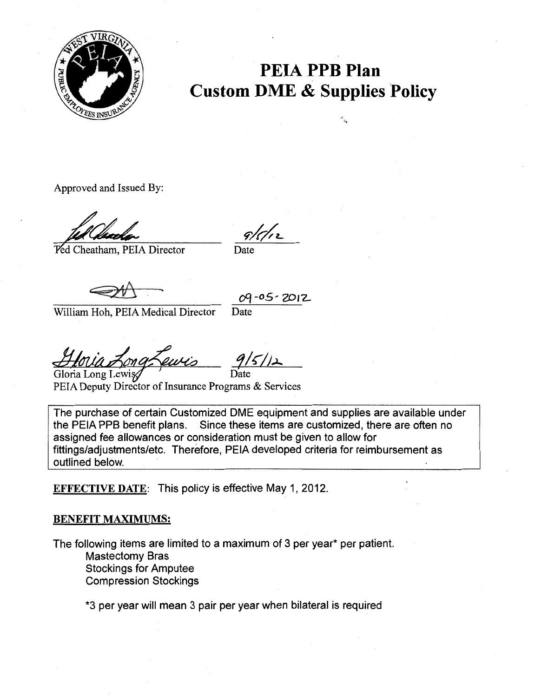

## **PEIA PPB Plan Custom DME & Supplies Policy**

..

Approved and Issued By:

**Ped Cheatham, PEIA Director** 

 $\mathbf{D}$ ate

 $\frac{69 - 05 - 2012}{\text{William Hoh. PELA Medical Director}}$ 

Hovia Long Lewis 9/5/12

PEIA Deputy Director of Insurance Programs & Services

The purchase of certain Customized DME equipment and supplies are available under the PEIA PPB benefit plans. Since these items are customized, there are often no assigned fee allowances or consideration must be given to allow for fittings/adjustments/etc. Therefore, PEIA developed criteria for reimbursement as outlined below.

EFFECTIVE DATE: This policy is effective May 1, 2012.

## BENEFIT MAXIMUMS:

The following items are limited to a maximum of 3 per year\* per patient. Mastectomy Bras Stockings for Amputee Compression Stockings

\*3 per year will mean 3 pair per year when bilateral is required